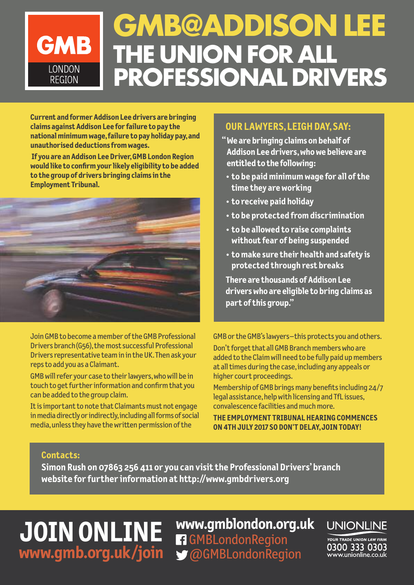### **GMB@ADDISON LEE GMB THE UNION FOR ALL** LONDON **PROFESSIONAL DRIVERS REGION**

**Current and formerAddison Lee drivers are bringing claims againstAddison Lee for failure to pay the nationalminimumwage,failure to pay holiday pay,and unauthorised deductionsfromwages.**

**If you are anAddison LeeDriver,GMB London Region would like to confirmyour likely eligibility to be added to the group of drivers bringing claimsin the Employment Tribunal.**



Join GMB to become a member of the GMB Professional Drivers branch (G56), the most successful Professional Drivers representative team in in the UK. Then ask your repsto add you as a Claimant.

GMB will refer your case to their lawyers, who will be in touch to get further information and confirm that you can be added to the group claim.

It is important to note that Claimants must not engage in media directly or indirectly, including all forms of social media,unlessthey have thewritten permission ofthe

#### **OUR LAWYERS,LEIGHDAY,SAY:**

- **"We are bringing claims on behalf of Addison Lee drivers,whowe believe are entitled to the following:**
	- **• to be paid minimum wage for all of the time they areworking**
	- **• to receive paid holiday**
	- **• to be protected from discrimination**
	- **• to be allowed to raise complaints without fear of being suspended**
	- **• to make sure their health and safety is protected through rest breaks**

**There** are **thousands** of **Addison** Lee **driverswho are eligible to bring claims as part of this group."**

GMB orthe GMB'slawyers–this protects you and others.

Don't forget that all GMB Branch members who are added to the Claim will need to be fully paid up members at alltimes during the case,including any appeals or higher court proceedings.

Membership of GMB brings many benefits including 24/7 legal assistance, help with licensing and TfL issues, convalescence facilities and much more.

**THE EMPLOYMENT TRIBUNALHEARING COMMENCES ON4THJULY 2017 SO DON'T DELAY,JOINTODAY!**

#### **Contacts:**

**Simon Rush on 07863 256 411 or you can visit the Professional Drivers'branch website for further information at <http://www.gmbdrivers.org>**

## **JOINONLINE [www.gmb.org.uk/join](http://www.gmb.org.uk/join)**

**[www.gmblondon.org.uk](http://www.gmblondon.org.uk/)** [GMBLondonRegion](https://www.facebook.com/GMBLondonRegion/) [@GMBLondonRegion](https://twitter.com/GMBLondonRegion)

**UNIONLINE** 

**YOUR TRADE UNION LAW FIRM** 0300 333 0303 www.unionline.co.uk